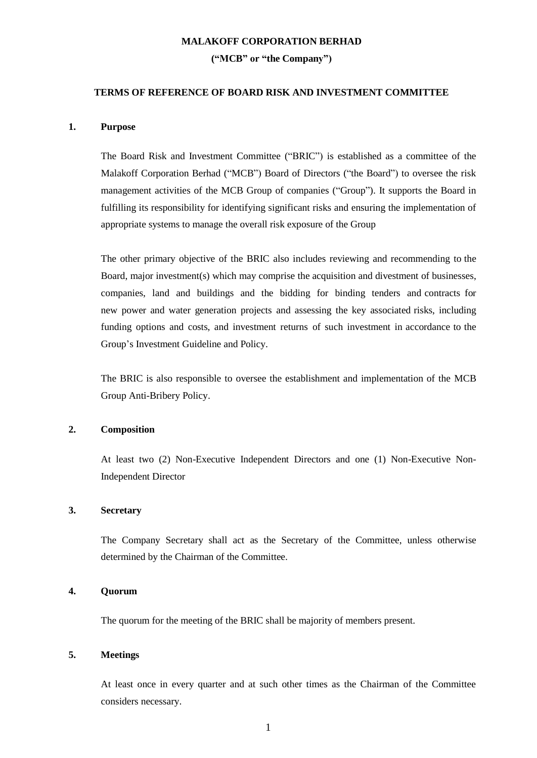#### **MALAKOFF CORPORATION BERHAD**

#### **("MCB" or "the Company")**

# **TERMS OF REFERENCE OF BOARD RISK AND INVESTMENT COMMITTEE**

# **1. Purpose**

The Board Risk and Investment Committee ("BRIC") is established as a committee of the Malakoff Corporation Berhad ("MCB") Board of Directors ("the Board") to oversee the risk management activities of the MCB Group of companies ("Group"). It supports the Board in fulfilling its responsibility for identifying significant risks and ensuring the implementation of appropriate systems to manage the overall risk exposure of the Group

The other primary objective of the BRIC also includes reviewing and recommending to the Board, major investment(s) which may comprise the acquisition and divestment of businesses, companies, land and buildings and the bidding for binding tenders and contracts for new power and water generation projects and assessing the key associated risks, including funding options and costs, and investment returns of such investment in accordance to the Group's Investment Guideline and Policy.

The BRIC is also responsible to oversee the establishment and implementation of the MCB Group Anti-Bribery Policy.

# **2. Composition**

At least two (2) Non-Executive Independent Directors and one (1) Non-Executive Non-Independent Director

### **3. Secretary**

The Company Secretary shall act as the Secretary of the Committee, unless otherwise determined by the Chairman of the Committee.

#### **4. Quorum**

The quorum for the meeting of the BRIC shall be majority of members present.

# **5. Meetings**

At least once in every quarter and at such other times as the Chairman of the Committee considers necessary.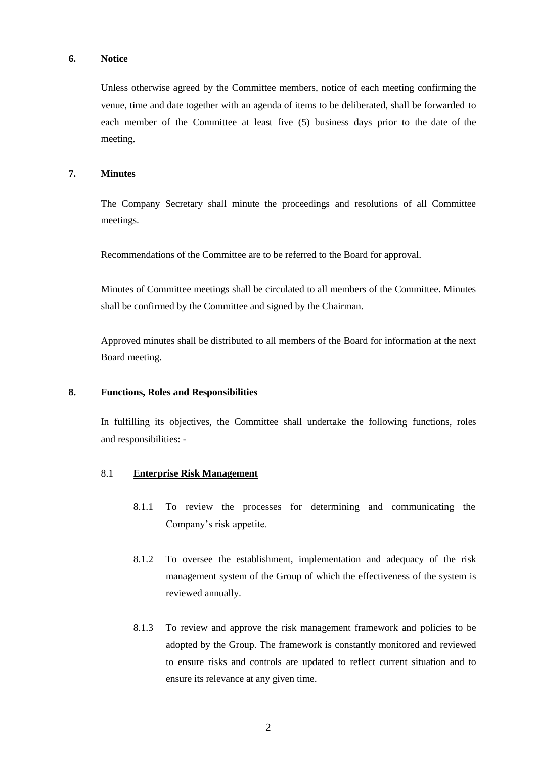# **6. Notice**

Unless otherwise agreed by the Committee members, notice of each meeting confirming the venue, time and date together with an agenda of items to be deliberated, shall be forwarded to each member of the Committee at least five (5) business days prior to the date of the meeting.

### **7. Minutes**

The Company Secretary shall minute the proceedings and resolutions of all Committee meetings.

Recommendations of the Committee are to be referred to the Board for approval.

Minutes of Committee meetings shall be circulated to all members of the Committee. Minutes shall be confirmed by the Committee and signed by the Chairman.

Approved minutes shall be distributed to all members of the Board for information at the next Board meeting.

# **8. Functions, Roles and Responsibilities**

In fulfilling its objectives, the Committee shall undertake the following functions, roles and responsibilities: -

# 8.1 **Enterprise Risk Management**

- 8.1.1 To review the processes for determining and communicating the Company's risk appetite.
- 8.1.2 To oversee the establishment, implementation and adequacy of the risk management system of the Group of which the effectiveness of the system is reviewed annually.
- 8.1.3 To review and approve the risk management framework and policies to be adopted by the Group. The framework is constantly monitored and reviewed to ensure risks and controls are updated to reflect current situation and to ensure its relevance at any given time.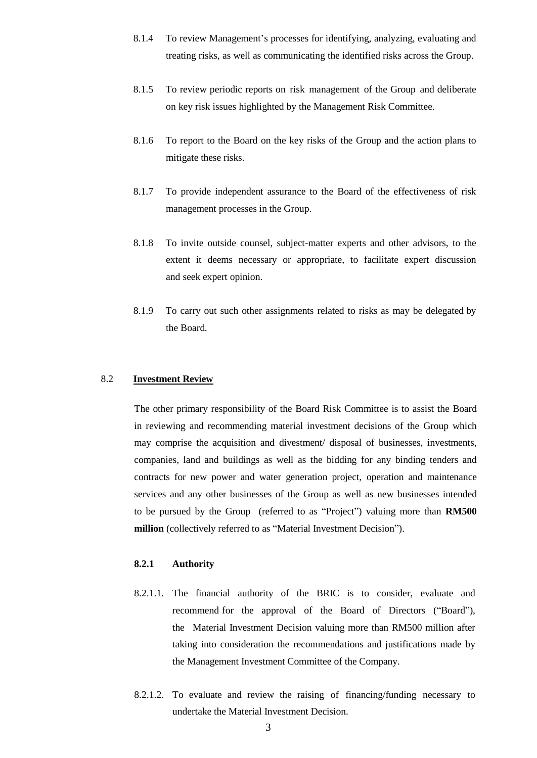- 8.1.4 To review Management's processes for identifying, analyzing, evaluating and treating risks, as well as communicating the identified risks across the Group.
- 8.1.5 To review periodic reports on risk management of the Group and deliberate on key risk issues highlighted by the Management Risk Committee.
- 8.1.6 To report to the Board on the key risks of the Group and the action plans to mitigate these risks.
- 8.1.7 To provide independent assurance to the Board of the effectiveness of risk management processes in the Group.
- 8.1.8 To invite outside counsel, subject-matter experts and other advisors, to the extent it deems necessary or appropriate, to facilitate expert discussion and seek expert opinion.
- 8.1.9 To carry out such other assignments related to risks as may be delegated by the Board.

## 8.2 **Investment Review**

The other primary responsibility of the Board Risk Committee is to assist the Board in reviewing and recommending material investment decisions of the Group which may comprise the acquisition and divestment/ disposal of businesses, investments, companies, land and buildings as well as the bidding for any binding tenders and contracts for new power and water generation project, operation and maintenance services and any other businesses of the Group as well as new businesses intended to be pursued by the Group (referred to as "Project") valuing more than **RM500 million** (collectively referred to as "Material Investment Decision").

#### **8.2.1 Authority**

- 8.2.1.1. The financial authority of the BRIC is to consider, evaluate and recommend for the approval of the Board of Directors ("Board"), the Material Investment Decision valuing more than RM500 million after taking into consideration the recommendations and justifications made by the Management Investment Committee of the Company.
- 8.2.1.2. To evaluate and review the raising of financing/funding necessary to undertake the Material Investment Decision.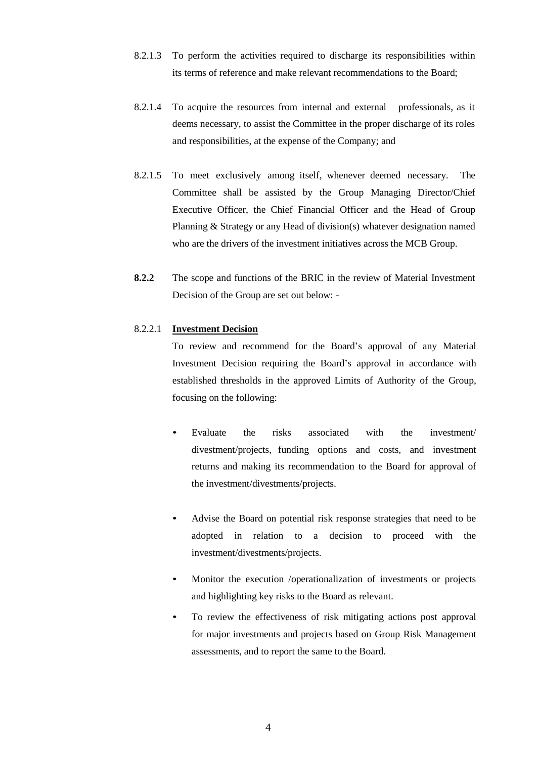- 8.2.1.3 To perform the activities required to discharge its responsibilities within its terms of reference and make relevant recommendations to the Board;
- 8.2.1.4 To acquire the resources from internal and external professionals, as it deems necessary, to assist the Committee in the proper discharge of its roles and responsibilities, at the expense of the Company; and
- 8.2.1.5 To meet exclusively among itself, whenever deemed necessary. The Committee shall be assisted by the Group Managing Director/Chief Executive Officer, the Chief Financial Officer and the Head of Group Planning & Strategy or any Head of division(s) whatever designation named who are the drivers of the investment initiatives across the MCB Group.
- **8.2.2** The scope and functions of the BRIC in the review of Material Investment Decision of the Group are set out below: -

# 8.2.2.1 **Investment Decision**

To review and recommend for the Board's approval of any Material Investment Decision requiring the Board's approval in accordance with established thresholds in the approved Limits of Authority of the Group, focusing on the following:

- Evaluate the risks associated with the investment/ divestment/projects, funding options and costs, and investment returns and making its recommendation to the Board for approval of the investment/divestments/projects.
- Advise the Board on potential risk response strategies that need to be adopted in relation to a decision to proceed with the investment/divestments/projects.
- Monitor the execution /operationalization of investments or projects and highlighting key risks to the Board as relevant.
- To review the effectiveness of risk mitigating actions post approval for major investments and projects based on Group Risk Management assessments, and to report the same to the Board.